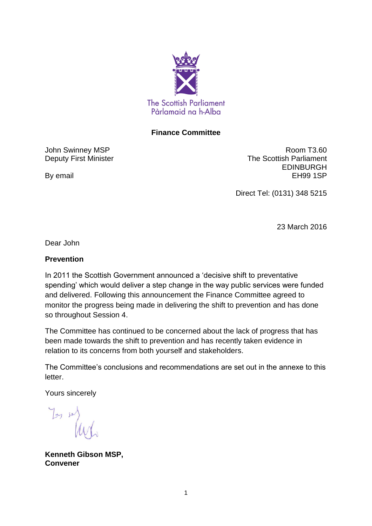

### **Finance Committee**

John Swinney MSP Deputy First Minister

By email

Room T3.60 The Scottish Parliament EDINBURGH EH99 1SP

Direct Tel: (0131) 348 5215

23 March 2016

Dear John

### **Prevention**

In 2011 the Scottish Government announced a 'decisive shift to preventative spending' which would deliver a step change in the way public services were funded and delivered. Following this announcement the Finance Committee agreed to monitor the progress being made in delivering the shift to prevention and has done so throughout Session 4.

The Committee has continued to be concerned about the lack of progress that has been made towards the shift to prevention and has recently taken evidence in relation to its concerns from both yourself and stakeholders.

The Committee's conclusions and recommendations are set out in the annexe to this letter.

Yours sincerely

You so

**Kenneth Gibson MSP, Convener**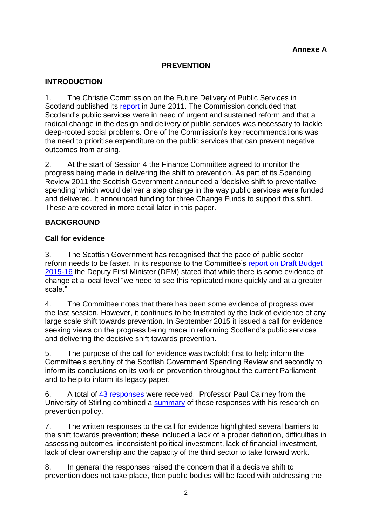### **PREVENTION**

### **INTRODUCTION**

1. The Christie Commission on the Future Delivery of Public Services in Scotland published its [report](http://www.gov.scot/resource/doc/352649/0118638.pdf) in June 2011. The Commission concluded that Scotland's public services were in need of urgent and sustained reform and that a radical change in the design and delivery of public services was necessary to tackle deep-rooted social problems. One of the Commission's key recommendations was the need to prioritise expenditure on the public services that can prevent negative outcomes from arising.

2. At the start of Session 4 the Finance Committee agreed to monitor the progress being made in delivering the shift to prevention. As part of its Spending Review 2011 the Scottish Government announced a 'decisive shift to preventative spending' which would deliver a step change in the way public services were funded and delivered. It announced funding for three Change Funds to support this shift. These are covered in more detail later in this paper.

### **BACKGROUND**

### **Call for evidence**

3. The Scottish Government has recognised that the pace of public sector reform needs to be faster. In its response to the Committee's [report on Draft Budget](http://www.scottish.parliament.uk/parliamentarybusiness/CurrentCommittees/85404.aspx)  [2015-16](http://www.scottish.parliament.uk/parliamentarybusiness/CurrentCommittees/85404.aspx) the Deputy First Minister (DFM) stated that while there is some evidence of change at a local level "we need to see this replicated more quickly and at a greater scale."

4. The Committee notes that there has been some evidence of progress over the last session. However, it continues to be frustrated by the lack of evidence of any large scale shift towards prevention. In September 2015 it issued a call for evidence seeking views on the progress being made in reforming Scotland's public services and delivering the decisive shift towards prevention.

5. The purpose of the call for evidence was twofold; first to help inform the Committee's scrutiny of the Scottish Government Spending Review and secondly to inform its conclusions on its work on prevention throughout the current Parliament and to help to inform its legacy paper.

6. A total of [43 responses](http://www.scottish.parliament.uk/parliamentarybusiness/CurrentCommittees/91915.aspx) were received. Professor Paul Cairney from the University of Stirling combined a [summary](http://www.scottish.parliament.uk/S4_FinanceCommittee/General%20Documents/Summary_of_submissions_Paul_Cairney.pdf) of these responses with his research on prevention policy.

7. The written responses to the call for evidence highlighted several barriers to the shift towards prevention; these included a lack of a proper definition, difficulties in assessing outcomes, inconsistent political investment, lack of financial investment, lack of clear ownership and the capacity of the third sector to take forward work.

8. In general the responses raised the concern that if a decisive shift to prevention does not take place, then public bodies will be faced with addressing the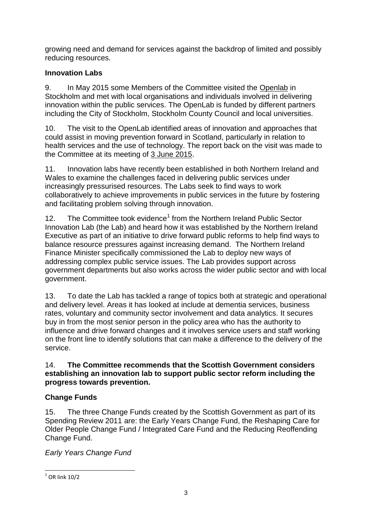growing need and demand for services against the backdrop of limited and possibly reducing resources.

# **Innovation Labs**

9. In May 2015 some Members of the Committee visited the [Openlab](http://openlabsthlm.se/about/) in Stockholm and met with local organisations and individuals involved in delivering innovation within the public services. The OpenLab is funded by different partners including the City of Stockholm, Stockholm County Council and local universities.

10. The visit to the OpenLab identified areas of innovation and approaches that could assist in moving prevention forward in Scotland, particularly in relation to health services and the use of technology. The report back on the visit was made to the Committee at its meeting of [3 June 2015.](http://www.scottish.parliament.uk/parliamentarybusiness/report.aspx?r=9994&mode=pdf)

11. Innovation labs have recently been established in both Northern Ireland and Wales to examine the challenges faced in delivering public services under increasingly pressurised resources. The Labs seek to find ways to work collaboratively to achieve improvements in public services in the future by fostering and facilitating problem solving through innovation.

12. The Committee took evidence<sup>1</sup> from the Northern Ireland Public Sector Innovation Lab (the Lab) and heard how it was established by the Northern Ireland Executive as part of an initiative to drive forward public reforms to help find ways to balance resource pressures against increasing demand. The Northern Ireland Finance Minister specifically commissioned the Lab to deploy new ways of addressing complex public service issues. The Lab provides support across government departments but also works across the wider public sector and with local government.

13. To date the Lab has tackled a range of topics both at strategic and operational and delivery level. Areas it has looked at include at dementia services, business rates, voluntary and community sector involvement and data analytics. It secures buy in from the most senior person in the policy area who has the authority to influence and drive forward changes and it involves service users and staff working on the front line to identify solutions that can make a difference to the delivery of the service.

### 14. **The Committee recommends that the Scottish Government considers establishing an innovation lab to support public sector reform including the progress towards prevention.**

# **Change Funds**

15. The three Change Funds created by the Scottish Government as part of its Spending Review 2011 are: the Early Years Change Fund, the Reshaping Care for Older People Change Fund / Integrated Care Fund and the Reducing Reoffending Change Fund.

*Early Years Change Fund* 

 1 OR link 10/2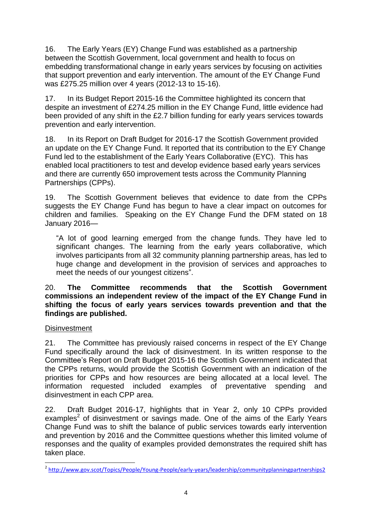16. The Early Years (EY) Change Fund was established as a partnership between the Scottish Government, local government and health to focus on embedding transformational change in early years services by focusing on activities that support prevention and early intervention. The amount of the EY Change Fund was £275.25 million over 4 years (2012-13 to 15-16).

17. In its Budget Report 2015-16 the Committee highlighted its concern that despite an investment of £274.25 million in the EY Change Fund, little evidence had been provided of any shift in the £2.7 billion funding for early years services towards prevention and early intervention.

18. In its Report on Draft Budget for 2016-17 the Scottish Government provided an update on the EY Change Fund. It reported that its contribution to the EY Change Fund led to the establishment of the Early Years Collaborative (EYC). This has enabled local practitioners to test and develop evidence based early years services and there are currently 650 improvement tests across the Community Planning Partnerships (CPPs).

19. The Scottish Government believes that evidence to date from the CPPs suggests the EY Change Fund has begun to have a clear impact on outcomes for children and families. Speaking on the EY Change Fund the DFM stated on 18 January 2016—

"A lot of good learning emerged from the change funds. They have led to significant changes. The learning from the early years collaborative, which involves participants from all 32 community planning partnership areas, has led to huge change and development in the provision of services and approaches to meet the needs of our youngest citizens".

#### 20. **The Committee recommends that the Scottish Government commissions an independent review of the impact of the EY Change Fund in shifting the focus of early years services towards prevention and that the findings are published.**

### **Disinvestment**

21. The Committee has previously raised concerns in respect of the EY Change Fund specifically around the lack of disinvestment. In its written response to the Committee's Report on Draft Budget 2015-16 the Scottish Government indicated that the CPPs returns, would provide the Scottish Government with an indication of the priorities for CPPs and how resources are being allocated at a local level. The information requested included examples of preventative spending and disinvestment in each CPP area.

22. Draft Budget 2016-17, highlights that in Year 2, only 10 CPPs provided examples<sup>2</sup> of disinvestment or savings made. One of the aims of the Early Years Change Fund was to shift the balance of public services towards early intervention and prevention by 2016 and the Committee questions whether this limited volume of responses and the quality of examples provided demonstrates the required shift has taken place.

 2 <http://www.gov.scot/Topics/People/Young-People/early-years/leadership/communityplanningpartnerships2>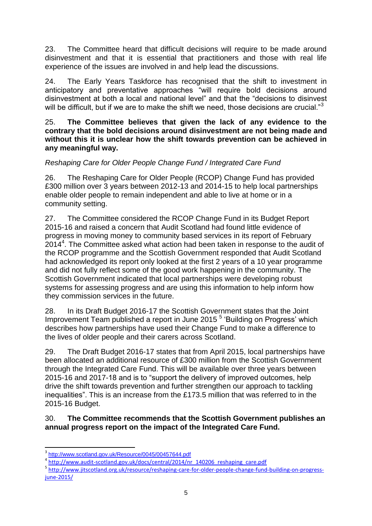23. The Committee heard that difficult decisions will require to be made around disinvestment and that it is essential that practitioners and those with real life experience of the issues are involved in and help lead the discussions.

24. The Early Years Taskforce has recognised that the shift to investment in anticipatory and preventative approaches "will require bold decisions around disinvestment at both a local and national level" and that the "decisions to disinvest will be difficult, but if we are to make the shift we need, those decisions are crucial."<sup>3</sup>

25. **The Committee believes that given the lack of any evidence to the contrary that the bold decisions around disinvestment are not being made and without this it is unclear how the shift towards prevention can be achieved in any meaningful way.** 

# *Reshaping Care for Older People Change Fund / Integrated Care Fund*

26. The Reshaping Care for Older People (RCOP) Change Fund has provided £300 million over 3 years between 2012-13 and 2014-15 to help local partnerships enable older people to remain independent and able to live at home or in a community setting.

27. The Committee considered the RCOP Change Fund in its Budget Report 2015-16 and raised a concern that Audit Scotland had found little evidence of progress in moving money to community based services in its report of February 2014<sup>4</sup> . The Committee asked what action had been taken in response to the audit of the RCOP programme and the Scottish Government responded that Audit Scotland had acknowledged its report only looked at the first 2 years of a 10 year programme and did not fully reflect some of the good work happening in the community. The Scottish Government indicated that local partnerships were developing robust systems for assessing progress and are using this information to help inform how they commission services in the future.

28. In its Draft Budget 2016-17 the Scottish Government states that the Joint Improvement Team published a report in June 2015<sup>5</sup> Building on Progress' which describes how partnerships have used their Change Fund to make a difference to the lives of older people and their carers across Scotland.

29. The Draft Budget 2016-17 states that from April 2015, local partnerships have been allocated an additional resource of £300 million from the Scottish Government through the Integrated Care Fund. This will be available over three years between 2015-16 and 2017-18 and is to "support the delivery of improved outcomes, help drive the shift towards prevention and further strengthen our approach to tackling inequalities". This is an increase from the £173.5 million that was referred to in the 2015-16 Budget.

30. **The Committee recommends that the Scottish Government publishes an annual progress report on the impact of the Integrated Care Fund.**

**.** 

<sup>5</sup> [http://www.jitscotland.org.uk/resource/reshaping-care-for-older-people-change-fund-building-on-progress](http://www.jitscotland.org.uk/resource/reshaping-care-for-older-people-change-fund-building-on-progress-june-2015/)[june-2015/](http://www.jitscotland.org.uk/resource/reshaping-care-for-older-people-change-fund-building-on-progress-june-2015/)

<sup>3</sup> <http://www.scotland.gov.uk/Resource/0045/00457644.pdf>

<sup>&</sup>lt;sup>4</sup> [http://www.audit-scotland.gov.uk/docs/central/2014/nr\\_140206\\_reshaping\\_care.pdf](http://www.audit-scotland.gov.uk/docs/central/2014/nr_140206_reshaping_care.pdf)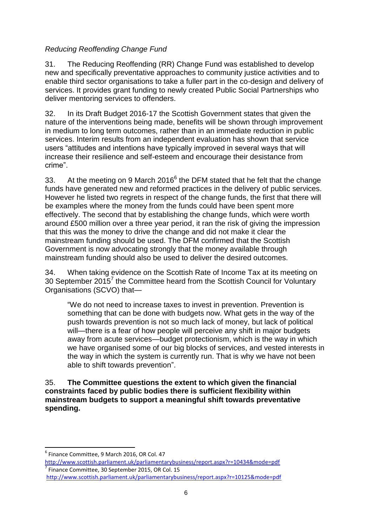# *Reducing Reoffending Change Fund*

31. The Reducing Reoffending (RR) Change Fund was established to develop new and specifically preventative approaches to community justice activities and to enable third sector organisations to take a fuller part in the co-design and delivery of services. It provides grant funding to newly created Public Social Partnerships who deliver mentoring services to offenders.

32. In its Draft Budget 2016-17 the Scottish Government states that given the nature of the interventions being made, benefits will be shown through improvement in medium to long term outcomes, rather than in an immediate reduction in public services. Interim results from an independent evaluation has shown that service users "attitudes and intentions have typically improved in several ways that will increase their resilience and self-esteem and encourage their desistance from crime".

33. At the meeting on 9 March 2016 $6$  the DFM stated that he felt that the change funds have generated new and reformed practices in the delivery of public services. However he listed two regrets in respect of the change funds, the first that there will be examples where the money from the funds could have been spent more effectively. The second that by establishing the change funds, which were worth around £500 million over a three year period, it ran the risk of giving the impression that this was the money to drive the change and did not make it clear the mainstream funding should be used. The DFM confirmed that the Scottish Government is now advocating strongly that the money available through mainstream funding should also be used to deliver the desired outcomes.

34. When taking evidence on the Scottish Rate of Income Tax at its meeting on 30 September 2015 $^7$  the Committee heard from the Scottish Council for Voluntary Organisations (SCVO) that—

"We do not need to increase taxes to invest in prevention. Prevention is something that can be done with budgets now. What gets in the way of the push towards prevention is not so much lack of money, but lack of political will—there is a fear of how people will perceive any shift in major budgets away from acute services—budget protectionism, which is the way in which we have organised some of our big blocks of services, and vested interests in the way in which the system is currently run. That is why we have not been able to shift towards prevention".

35. **The Committee questions the extent to which given the financial constraints faced by public bodies there is sufficient flexibility within mainstream budgets to support a meaningful shift towards preventative spending.**

**.** 

<sup>6</sup> Finance Committee, 9 March 2016, OR Col. 47

<http://www.scottish.parliament.uk/parliamentarybusiness/report.aspx?r=10434&mode=pdf> 7 Finance Committee, 30 September 2015, OR Col. 15 <http://www.scottish.parliament.uk/parliamentarybusiness/report.aspx?r=10125&mode=pdf>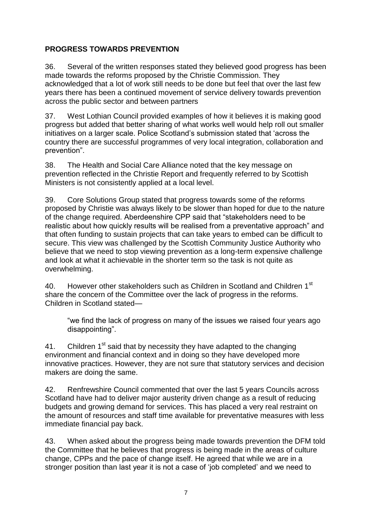# **PROGRESS TOWARDS PREVENTION**

36. Several of the written responses stated they believed good progress has been made towards the reforms proposed by the Christie Commission. They acknowledged that a lot of work still needs to be done but feel that over the last few years there has been a continued movement of service delivery towards prevention across the public sector and between partners

37. West Lothian Council provided examples of how it believes it is making good progress but added that better sharing of what works well would help roll out smaller initiatives on a larger scale. Police Scotland's submission stated that 'across the country there are successful programmes of very local integration, collaboration and prevention".

38. The Health and Social Care Alliance noted that the key message on prevention reflected in the Christie Report and frequently referred to by Scottish Ministers is not consistently applied at a local level.

39. Core Solutions Group stated that progress towards some of the reforms proposed by Christie was always likely to be slower than hoped for due to the nature of the change required. Aberdeenshire CPP said that "stakeholders need to be realistic about how quickly results will be realised from a preventative approach" and that often funding to sustain projects that can take years to embed can be difficult to secure. This view was challenged by the Scottish Community Justice Authority who believe that we need to stop viewing prevention as a long-term expensive challenge and look at what it achievable in the shorter term so the task is not quite as overwhelming.

40. However other stakeholders such as Children in Scotland and Children 1<sup>st</sup> share the concern of the Committee over the lack of progress in the reforms. Children in Scotland stated—

"we find the lack of progress on many of the issues we raised four years ago disappointing".

41. Children  $1<sup>st</sup>$  said that by necessity they have adapted to the changing environment and financial context and in doing so they have developed more innovative practices. However, they are not sure that statutory services and decision makers are doing the same.

42. Renfrewshire Council commented that over the last 5 years Councils across Scotland have had to deliver major austerity driven change as a result of reducing budgets and growing demand for services. This has placed a very real restraint on the amount of resources and staff time available for preventative measures with less immediate financial pay back.

43. When asked about the progress being made towards prevention the DFM told the Committee that he believes that progress is being made in the areas of culture change, CPPs and the pace of change itself. He agreed that while we are in a stronger position than last year it is not a case of 'job completed' and we need to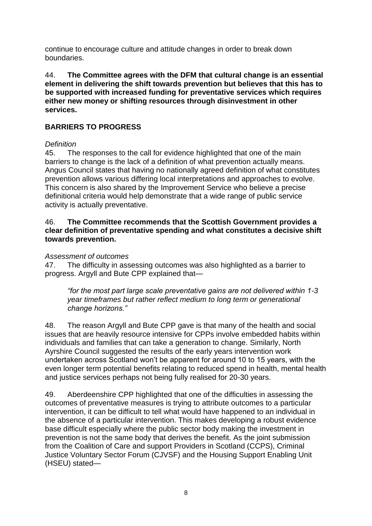continue to encourage culture and attitude changes in order to break down boundaries.

44. **The Committee agrees with the DFM that cultural change is an essential element in delivering the shift towards prevention but believes that this has to be supported with increased funding for preventative services which requires either new money or shifting resources through disinvestment in other services.**

### **BARRIERS TO PROGRESS**

#### *Definition*

45. The responses to the call for evidence highlighted that one of the main barriers to change is the lack of a definition of what prevention actually means. Angus Council states that having no nationally agreed definition of what constitutes prevention allows various differing local interpretations and approaches to evolve. This concern is also shared by the Improvement Service who believe a precise definitional criteria would help demonstrate that a wide range of public service activity is actually preventative.

#### 46. **The Committee recommends that the Scottish Government provides a clear definition of preventative spending and what constitutes a decisive shift towards prevention.**

#### *Assessment of outcomes*

47. The difficulty in assessing outcomes was also highlighted as a barrier to progress. Argyll and Bute CPP explained that—

*"for the most part large scale preventative gains are not delivered within 1-3 year timeframes but rather reflect medium to long term or generational change horizons."*

48. The reason Argyll and Bute CPP gave is that many of the health and social issues that are heavily resource intensive for CPPs involve embedded habits within individuals and families that can take a generation to change. Similarly, North Ayrshire Council suggested the results of the early years intervention work undertaken across Scotland won't be apparent for around 10 to 15 years, with the even longer term potential benefits relating to reduced spend in health, mental health and justice services perhaps not being fully realised for 20-30 years.

49. Aberdeenshire CPP highlighted that one of the difficulties in assessing the outcomes of preventative measures is trying to attribute outcomes to a particular intervention, it can be difficult to tell what would have happened to an individual in the absence of a particular intervention. This makes developing a robust evidence base difficult especially where the public sector body making the investment in prevention is not the same body that derives the benefit. As the joint submission from the Coalition of Care and support Providers in Scotland (CCPS), Criminal Justice Voluntary Sector Forum (CJVSF) and the Housing Support Enabling Unit (HSEU) stated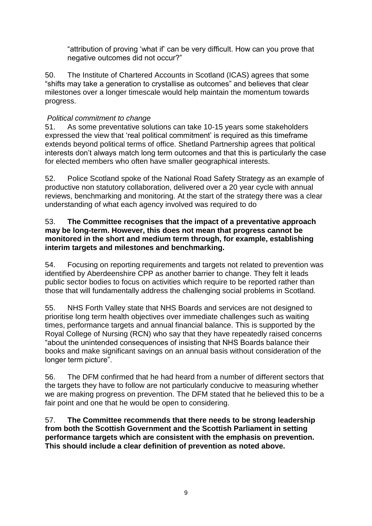"attribution of proving 'what if' can be very difficult. How can you prove that negative outcomes did not occur?"

50. The Institute of Chartered Accounts in Scotland (ICAS) agrees that some "shifts may take a generation to crystallise as outcomes" and believes that clear milestones over a longer timescale would help maintain the momentum towards progress.

# *Political commitment to change*

51. As some preventative solutions can take 10-15 years some stakeholders expressed the view that 'real political commitment' is required as this timeframe extends beyond political terms of office. Shetland Partnership agrees that political interests don't always match long term outcomes and that this is particularly the case for elected members who often have smaller geographical interests.

52. Police Scotland spoke of the National Road Safety Strategy as an example of productive non statutory collaboration, delivered over a 20 year cycle with annual reviews, benchmarking and monitoring. At the start of the strategy there was a clear understanding of what each agency involved was required to do

#### 53. **The Committee recognises that the impact of a preventative approach may be long-term. However, this does not mean that progress cannot be monitored in the short and medium term through, for example, establishing interim targets and milestones and benchmarking.**

54. Focusing on reporting requirements and targets not related to prevention was identified by Aberdeenshire CPP as another barrier to change. They felt it leads public sector bodies to focus on activities which require to be reported rather than those that will fundamentally address the challenging social problems in Scotland.

55. NHS Forth Valley state that NHS Boards and services are not designed to prioritise long term health objectives over immediate challenges such as waiting times, performance targets and annual financial balance. This is supported by the Royal College of Nursing (RCN) who say that they have repeatedly raised concerns "about the unintended consequences of insisting that NHS Boards balance their books and make significant savings on an annual basis without consideration of the longer term picture".

56. The DFM confirmed that he had heard from a number of different sectors that the targets they have to follow are not particularly conducive to measuring whether we are making progress on prevention. The DFM stated that he believed this to be a fair point and one that he would be open to considering.

57. **The Committee recommends that there needs to be strong leadership from both the Scottish Government and the Scottish Parliament in setting performance targets which are consistent with the emphasis on prevention. This should include a clear definition of prevention as noted above.**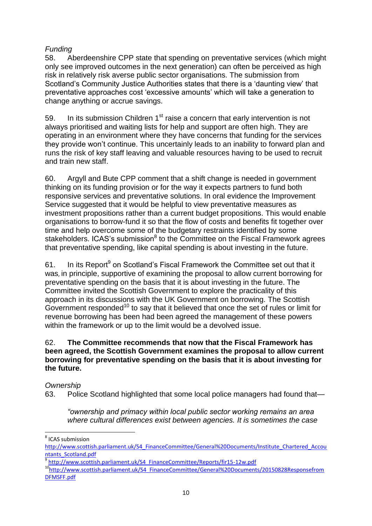# *Funding*

58. Aberdeenshire CPP state that spending on preventative services (which might only see improved outcomes in the next generation) can often be perceived as high risk in relatively risk averse public sector organisations. The submission from Scotland's Community Justice Authorities states that there is a 'daunting view' that preventative approaches cost 'excessive amounts' which will take a generation to change anything or accrue savings.

59. In its submission Children  $1<sup>st</sup>$  raise a concern that early intervention is not always prioritised and waiting lists for help and support are often high. They are operating in an environment where they have concerns that funding for the services they provide won't continue. This uncertainly leads to an inability to forward plan and runs the risk of key staff leaving and valuable resources having to be used to recruit and train new staff.

60. Argyll and Bute CPP comment that a shift change is needed in government thinking on its funding provision or for the way it expects partners to fund both responsive services and preventative solutions. In oral evidence the Improvement Service suggested that it would be helpful to view preventative measures as investment propositions rather than a current budget propositions. This would enable organisations to borrow-fund it so that the flow of costs and benefits fit together over time and help overcome some of the budgetary restraints identified by some stakeholders. ICAS's submission<sup>8</sup> to the Committee on the Fiscal Framework agrees that preventative spending, like capital spending is about investing in the future.

61. In its Report<sup>9</sup> on Scotland's Fiscal Framework the Committee set out that it was, in principle, supportive of examining the proposal to allow current borrowing for preventative spending on the basis that it is about investing in the future. The Committee invited the Scottish Government to explore the practicality of this approach in its discussions with the UK Government on borrowing. The Scottish Government responded<sup>10</sup> to say that it believed that once the set of rules or limit for revenue borrowing has been had been agreed the management of these powers within the framework or up to the limit would be a devolved issue.

### 62. **The Committee recommends that now that the Fiscal Framework has been agreed, the Scottish Government examines the proposal to allow current borrowing for preventative spending on the basis that it is about investing for the future.**

#### *Ownership*

63. Police Scotland highlighted that some local police managers had found that—

*"ownership and primacy within local public sector working remains an area where cultural differences exist between agencies. It is sometimes the case* 

 8 ICAS submission

[http://www.scottish.parliament.uk/S4\\_FinanceCommittee/General%20Documents/Institute\\_Chartered\\_Accou](http://www.scottish.parliament.uk/S4_FinanceCommittee/General%20Documents/Institute_Chartered_Accountants_Scotland.pdf) [ntants\\_Scotland.pdf](http://www.scottish.parliament.uk/S4_FinanceCommittee/General%20Documents/Institute_Chartered_Accountants_Scotland.pdf)

[http://www.scottish.parliament.uk/S4\\_FinanceCommittee/Reports/fir15-12w.pdf](http://www.scottish.parliament.uk/S4_FinanceCommittee/Reports/fir15-12w.pdf)

<sup>10</sup>[http://www.scottish.parliament.uk/S4\\_FinanceCommittee/General%20Documents/20150828Responsefrom](http://www.scottish.parliament.uk/S4_FinanceCommittee/General%20Documents/20150828ResponsefromDFMSFF.pdf) [DFMSFF.pdf](http://www.scottish.parliament.uk/S4_FinanceCommittee/General%20Documents/20150828ResponsefromDFMSFF.pdf)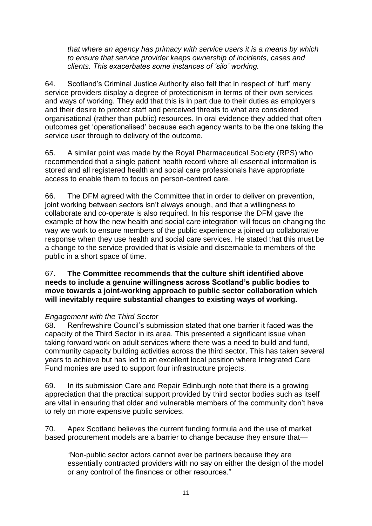*that where an agency has primacy with service users it is a means by which to ensure that service provider keeps ownership of incidents, cases and clients. This exacerbates some instances of 'silo' working.*

64. Scotland's Criminal Justice Authority also felt that in respect of 'turf' many service providers display a degree of protectionism in terms of their own services and ways of working. They add that this is in part due to their duties as employers and their desire to protect staff and perceived threats to what are considered organisational (rather than public) resources. In oral evidence they added that often outcomes get 'operationalised' because each agency wants to be the one taking the service user through to delivery of the outcome.

65. A similar point was made by the Royal Pharmaceutical Society (RPS) who recommended that a single patient health record where all essential information is stored and all registered health and social care professionals have appropriate access to enable them to focus on person-centred care.

66. The DFM agreed with the Committee that in order to deliver on prevention, joint working between sectors isn't always enough, and that a willingness to collaborate and co-operate is also required. In his response the DFM gave the example of how the new health and social care integration will focus on changing the way we work to ensure members of the public experience a joined up collaborative response when they use health and social care services. He stated that this must be a change to the service provided that is visible and discernable to members of the public in a short space of time.

#### 67. **The Committee recommends that the culture shift identified above needs to include a genuine willingness across Scotland's public bodies to move towards a joint-working approach to public sector collaboration which will inevitably require substantial changes to existing ways of working.**

#### *Engagement with the Third Sector*

68. Renfrewshire Council's submission stated that one barrier it faced was the capacity of the Third Sector in its area. This presented a significant issue when taking forward work on adult services where there was a need to build and fund, community capacity building activities across the third sector. This has taken several years to achieve but has led to an excellent local position where Integrated Care Fund monies are used to support four infrastructure projects.

69. In its submission Care and Repair Edinburgh note that there is a growing appreciation that the practical support provided by third sector bodies such as itself are vital in ensuring that older and vulnerable members of the community don't have to rely on more expensive public services.

70. Apex Scotland believes the current funding formula and the use of market based procurement models are a barrier to change because they ensure that—

"Non-public sector actors cannot ever be partners because they are essentially contracted providers with no say on either the design of the model or any control of the finances or other resources."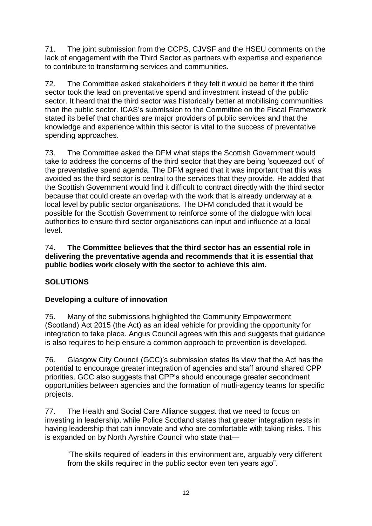71. The joint submission from the CCPS, CJVSF and the HSEU comments on the lack of engagement with the Third Sector as partners with expertise and experience to contribute to transforming services and communities.

72. The Committee asked stakeholders if they felt it would be better if the third sector took the lead on preventative spend and investment instead of the public sector. It heard that the third sector was historically better at mobilising communities than the public sector. ICAS's submission to the Committee on the Fiscal Framework stated its belief that charities are major providers of public services and that the knowledge and experience within this sector is vital to the success of preventative spending approaches.

73. The Committee asked the DFM what steps the Scottish Government would take to address the concerns of the third sector that they are being 'squeezed out' of the preventative spend agenda. The DFM agreed that it was important that this was avoided as the third sector is central to the services that they provide. He added that the Scottish Government would find it difficult to contract directly with the third sector because that could create an overlap with the work that is already underway at a local level by public sector organisations. The DFM concluded that it would be possible for the Scottish Government to reinforce some of the dialogue with local authorities to ensure third sector organisations can input and influence at a local level.

### 74. **The Committee believes that the third sector has an essential role in delivering the preventative agenda and recommends that it is essential that public bodies work closely with the sector to achieve this aim.**

# **SOLUTIONS**

# **Developing a culture of innovation**

75. Many of the submissions highlighted the Community Empowerment (Scotland) Act 2015 (the Act) as an ideal vehicle for providing the opportunity for integration to take place. Angus Council agrees with this and suggests that guidance is also requires to help ensure a common approach to prevention is developed.

76. Glasgow City Council (GCC)'s submission states its view that the Act has the potential to encourage greater integration of agencies and staff around shared CPP priorities. GCC also suggests that CPP's should encourage greater secondment opportunities between agencies and the formation of mutli-agency teams for specific projects.

77. The Health and Social Care Alliance suggest that we need to focus on investing in leadership, while Police Scotland states that greater integration rests in having leadership that can innovate and who are comfortable with taking risks. This is expanded on by North Ayrshire Council who state that—

"The skills required of leaders in this environment are, arguably very different from the skills required in the public sector even ten years ago".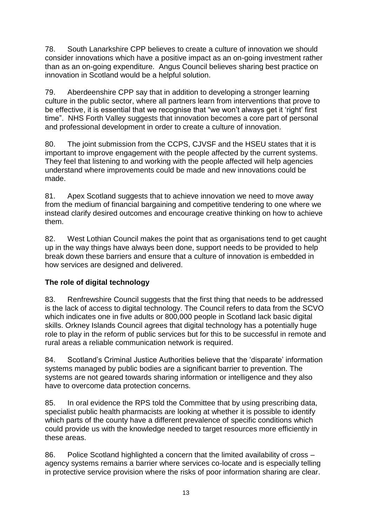78. South Lanarkshire CPP believes to create a culture of innovation we should consider innovations which have a positive impact as an on-going investment rather than as an on-going expenditure. Angus Council believes sharing best practice on innovation in Scotland would be a helpful solution.

79. Aberdeenshire CPP say that in addition to developing a stronger learning culture in the public sector, where all partners learn from interventions that prove to be effective, it is essential that we recognise that "we won't always get it 'right' first time". NHS Forth Valley suggests that innovation becomes a core part of personal and professional development in order to create a culture of innovation.

80. The joint submission from the CCPS, CJVSF and the HSEU states that it is important to improve engagement with the people affected by the current systems. They feel that listening to and working with the people affected will help agencies understand where improvements could be made and new innovations could be made.

81. Apex Scotland suggests that to achieve innovation we need to move away from the medium of financial bargaining and competitive tendering to one where we instead clarify desired outcomes and encourage creative thinking on how to achieve them.

82. West Lothian Council makes the point that as organisations tend to get caught up in the way things have always been done, support needs to be provided to help break down these barriers and ensure that a culture of innovation is embedded in how services are designed and delivered.

# **The role of digital technology**

83. Renfrewshire Council suggests that the first thing that needs to be addressed is the lack of access to digital technology. The Council refers to data from the SCVO which indicates one in five adults or 800,000 people in Scotland lack basic digital skills. Orkney Islands Council agrees that digital technology has a potentially huge role to play in the reform of public services but for this to be successful in remote and rural areas a reliable communication network is required.

84. Scotland's Criminal Justice Authorities believe that the 'disparate' information systems managed by public bodies are a significant barrier to prevention. The systems are not geared towards sharing information or intelligence and they also have to overcome data protection concerns.

85. In oral evidence the RPS told the Committee that by using prescribing data, specialist public health pharmacists are looking at whether it is possible to identify which parts of the county have a different prevalence of specific conditions which could provide us with the knowledge needed to target resources more efficiently in these areas.

86. Police Scotland highlighted a concern that the limited availability of cross – agency systems remains a barrier where services co-locate and is especially telling in protective service provision where the risks of poor information sharing are clear.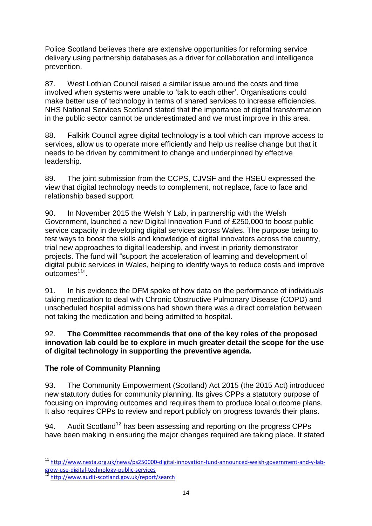Police Scotland believes there are extensive opportunities for reforming service delivery using partnership databases as a driver for collaboration and intelligence prevention.

87. West Lothian Council raised a similar issue around the costs and time involved when systems were unable to 'talk to each other'. Organisations could make better use of technology in terms of shared services to increase efficiencies. NHS National Services Scotland stated that the importance of digital transformation in the public sector cannot be underestimated and we must improve in this area.

88. Falkirk Council agree digital technology is a tool which can improve access to services, allow us to operate more efficiently and help us realise change but that it needs to be driven by commitment to change and underpinned by effective leadership.

89. The joint submission from the CCPS, CJVSF and the HSEU expressed the view that digital technology needs to complement, not replace, face to face and relationship based support.

90. In November 2015 the Welsh Y Lab, in partnership with the Welsh Government, launched a new Digital Innovation Fund of £250,000 to boost public service capacity in developing digital services across Wales. The purpose being to test ways to boost the skills and knowledge of digital innovators across the country, trial new approaches to digital leadership, and invest in priority demonstrator projects. The fund will "support the acceleration of learning and development of digital public services in Wales, helping to identify ways to reduce costs and improve outcomes<sup>11</sup>".

91. In his evidence the DFM spoke of how data on the performance of individuals taking medication to deal with Chronic Obstructive Pulmonary Disease (COPD) and unscheduled hospital admissions had shown there was a direct correlation between not taking the medication and being admitted to hospital.

### 92. **The Committee recommends that one of the key roles of the proposed innovation lab could be to explore in much greater detail the scope for the use of digital technology in supporting the preventive agenda.**

# **The role of Community Planning**

93. The Community Empowerment (Scotland) Act 2015 (the 2015 Act) introduced new statutory duties for community planning. Its gives CPPs a statutory purpose of focusing on improving outcomes and requires them to produce local outcome plans. It also requires CPPs to review and report publicly on progress towards their plans.

94. Audit Scotland<sup>12</sup> has been assessing and reporting on the progress CPPs have been making in ensuring the major changes required are taking place. It stated

1

<sup>&</sup>lt;sup>11</sup> [http://www.nesta.org.uk/news/ps250000-digital-innovation-fund-announced-welsh-government-and-y-lab](http://www.nesta.org.uk/news/ps250000-digital-innovation-fund-announced-welsh-government-and-y-lab-grow-use-digital-technology-public-services)[grow-use-digital-technology-public-services](http://www.nesta.org.uk/news/ps250000-digital-innovation-fund-announced-welsh-government-and-y-lab-grow-use-digital-technology-public-services)

<sup>&</sup>lt;sup>12</sup> <http://www.audit-scotland.gov.uk/report/search>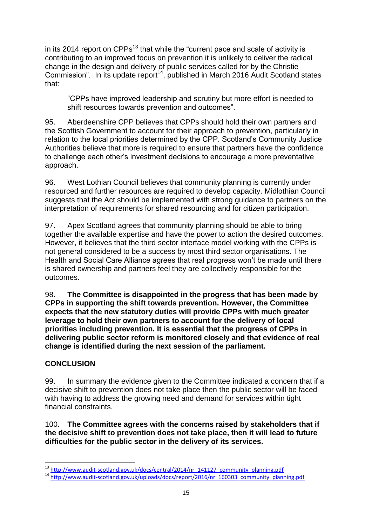in its 2014 report on CPPs<sup>13</sup> that while the "current pace and scale of activity is contributing to an improved focus on prevention it is unlikely to deliver the radical change in the design and delivery of public services called for by the Christie Commission". In its update report<sup>14</sup>, published in March 2016 Audit Scotland states that:

"CPPs have improved leadership and scrutiny but more effort is needed to shift resources towards prevention and outcomes".

95. Aberdeenshire CPP believes that CPPs should hold their own partners and the Scottish Government to account for their approach to prevention, particularly in relation to the local priorities determined by the CPP. Scotland's Community Justice Authorities believe that more is required to ensure that partners have the confidence to challenge each other's investment decisions to encourage a more preventative approach.

96. West Lothian Council believes that community planning is currently under resourced and further resources are required to develop capacity. Midlothian Council suggests that the Act should be implemented with strong guidance to partners on the interpretation of requirements for shared resourcing and for citizen participation.

97. Apex Scotland agrees that community planning should be able to bring together the available expertise and have the power to action the desired outcomes. However, it believes that the third sector interface model working with the CPPs is not general considered to be a success by most third sector organisations. The Health and Social Care Alliance agrees that real progress won't be made until there is shared ownership and partners feel they are collectively responsible for the outcomes.

98. **The Committee is disappointed in the progress that has been made by CPPs in supporting the shift towards prevention. However, the Committee expects that the new statutory duties will provide CPPs with much greater leverage to hold their own partners to account for the delivery of local priorities including prevention. It is essential that the progress of CPPs in delivering public sector reform is monitored closely and that evidence of real change is identified during the next session of the parliament.** 

### **CONCLUSION**

99. In summary the evidence given to the Committee indicated a concern that if a decisive shift to prevention does not take place then the public sector will be faced with having to address the growing need and demand for services within tight financial constraints.

100. **The Committee agrees with the concerns raised by stakeholders that if the decisive shift to prevention does not take place, then it will lead to future difficulties for the public sector in the delivery of its services.**

**<sup>.</sup>** <sup>13</sup> [http://www.audit-scotland.gov.uk/docs/central/2014/nr\\_141127\\_community\\_planning.pdf](http://www.audit-scotland.gov.uk/docs/central/2014/nr_141127_community_planning.pdf)

<sup>&</sup>lt;sup>14</sup> [http://www.audit-scotland.gov.uk/uploads/docs/report/2016/nr\\_160303\\_community\\_planning.pdf](http://www.audit-scotland.gov.uk/uploads/docs/report/2016/nr_160303_community_planning.pdf)